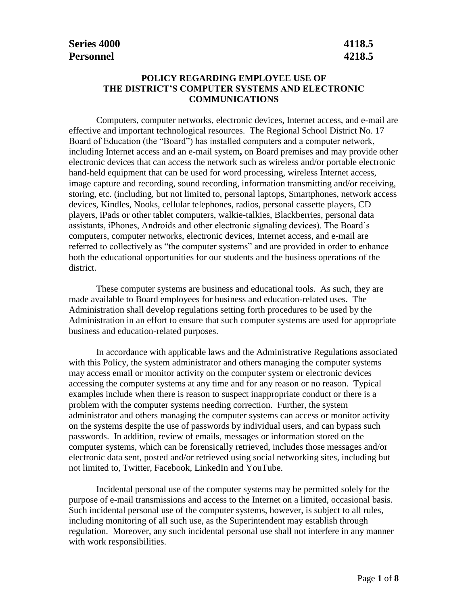### **POLICY REGARDING EMPLOYEE USE OF THE DISTRICT'S COMPUTER SYSTEMS AND ELECTRONIC COMMUNICATIONS**

Computers, computer networks, electronic devices, Internet access, and e-mail are effective and important technological resources. The Regional School District No. 17 Board of Education (the "Board") has installed computers and a computer network, including Internet access and an e-mail system**,** on Board premises and may provide other electronic devices that can access the network such as wireless and/or portable electronic hand-held equipment that can be used for word processing, wireless Internet access, image capture and recording, sound recording, information transmitting and/or receiving, storing, etc. (including, but not limited to, personal laptops, Smartphones, network access devices, Kindles, Nooks, cellular telephones, radios, personal cassette players, CD players, iPads or other tablet computers, walkie-talkies, Blackberries, personal data assistants, iPhones, Androids and other electronic signaling devices). The Board's computers, computer networks, electronic devices, Internet access, and e-mail are referred to collectively as "the computer systems" and are provided in order to enhance both the educational opportunities for our students and the business operations of the district.

These computer systems are business and educational tools. As such, they are made available to Board employees for business and education-related uses. The Administration shall develop regulations setting forth procedures to be used by the Administration in an effort to ensure that such computer systems are used for appropriate business and education-related purposes.

In accordance with applicable laws and the Administrative Regulations associated with this Policy, the system administrator and others managing the computer systems may access email or monitor activity on the computer system or electronic devices accessing the computer systems at any time and for any reason or no reason. Typical examples include when there is reason to suspect inappropriate conduct or there is a problem with the computer systems needing correction. Further, the system administrator and others managing the computer systems can access or monitor activity on the systems despite the use of passwords by individual users, and can bypass such passwords. In addition, review of emails, messages or information stored on the computer systems, which can be forensically retrieved, includes those messages and/or electronic data sent, posted and/or retrieved using social networking sites, including but not limited to, Twitter, Facebook, LinkedIn and YouTube.

Incidental personal use of the computer systems may be permitted solely for the purpose of e-mail transmissions and access to the Internet on a limited, occasional basis. Such incidental personal use of the computer systems, however, is subject to all rules, including monitoring of all such use, as the Superintendent may establish through regulation. Moreover, any such incidental personal use shall not interfere in any manner with work responsibilities.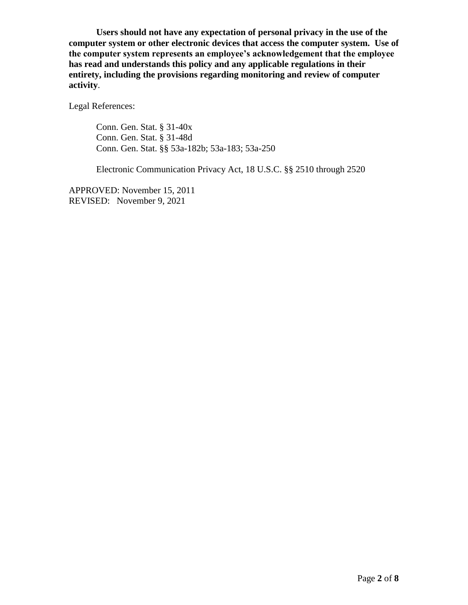**Users should not have any expectation of personal privacy in the use of the computer system or other electronic devices that access the computer system. Use of the computer system represents an employee's acknowledgement that the employee has read and understands this policy and any applicable regulations in their entirety, including the provisions regarding monitoring and review of computer activity**.

Legal References:

Conn. Gen. Stat. § 31-40x Conn. Gen. Stat. § 31-48d Conn. Gen. Stat. §§ 53a-182b; 53a-183; 53a-250

Electronic Communication Privacy Act, 18 U.S.C. §§ 2510 through 2520

APPROVED: November 15, 2011 REVISED: November 9, 2021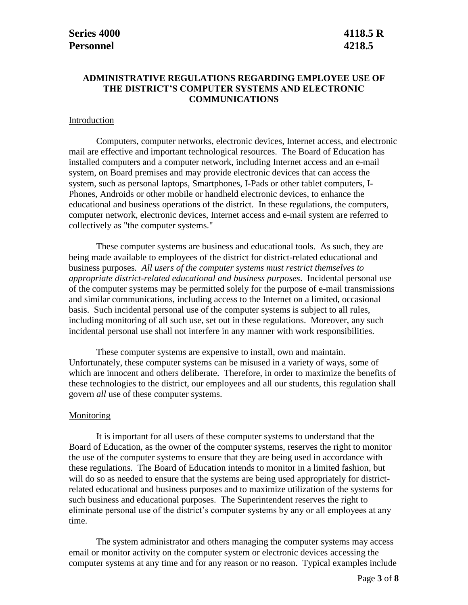### **ADMINISTRATIVE REGULATIONS REGARDING EMPLOYEE USE OF THE DISTRICT'S COMPUTER SYSTEMS AND ELECTRONIC COMMUNICATIONS**

#### Introduction

Computers, computer networks, electronic devices, Internet access, and electronic mail are effective and important technological resources. The Board of Education has installed computers and a computer network, including Internet access and an e-mail system, on Board premises and may provide electronic devices that can access the system, such as personal laptops, Smartphones, I-Pads or other tablet computers, I-Phones, Androids or other mobile or handheld electronic devices, to enhance the educational and business operations of the district. In these regulations, the computers, computer network, electronic devices, Internet access and e-mail system are referred to collectively as "the computer systems."

These computer systems are business and educational tools. As such, they are being made available to employees of the district for district-related educational and business purposes*. All users of the computer systems must restrict themselves to appropriate district-related educational and business purposes*. Incidental personal use of the computer systems may be permitted solely for the purpose of e-mail transmissions and similar communications, including access to the Internet on a limited, occasional basis. Such incidental personal use of the computer systems is subject to all rules, including monitoring of all such use, set out in these regulations. Moreover, any such incidental personal use shall not interfere in any manner with work responsibilities.

These computer systems are expensive to install, own and maintain. Unfortunately, these computer systems can be misused in a variety of ways, some of which are innocent and others deliberate. Therefore, in order to maximize the benefits of these technologies to the district, our employees and all our students, this regulation shall govern *all* use of these computer systems.

#### **Monitoring**

It is important for all users of these computer systems to understand that the Board of Education, as the owner of the computer systems, reserves the right to monitor the use of the computer systems to ensure that they are being used in accordance with these regulations. The Board of Education intends to monitor in a limited fashion, but will do so as needed to ensure that the systems are being used appropriately for districtrelated educational and business purposes and to maximize utilization of the systems for such business and educational purposes. The Superintendent reserves the right to eliminate personal use of the district's computer systems by any or all employees at any time.

The system administrator and others managing the computer systems may access email or monitor activity on the computer system or electronic devices accessing the computer systems at any time and for any reason or no reason. Typical examples include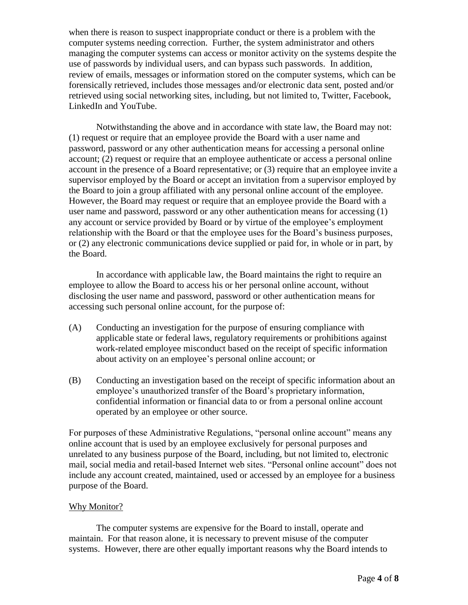when there is reason to suspect inappropriate conduct or there is a problem with the computer systems needing correction. Further, the system administrator and others managing the computer systems can access or monitor activity on the systems despite the use of passwords by individual users, and can bypass such passwords. In addition, review of emails, messages or information stored on the computer systems, which can be forensically retrieved, includes those messages and/or electronic data sent, posted and/or retrieved using social networking sites, including, but not limited to, Twitter, Facebook, LinkedIn and YouTube.

Notwithstanding the above and in accordance with state law, the Board may not: (1) request or require that an employee provide the Board with a user name and password, password or any other authentication means for accessing a personal online account; (2) request or require that an employee authenticate or access a personal online account in the presence of a Board representative; or (3) require that an employee invite a supervisor employed by the Board or accept an invitation from a supervisor employed by the Board to join a group affiliated with any personal online account of the employee. However, the Board may request or require that an employee provide the Board with a user name and password, password or any other authentication means for accessing (1) any account or service provided by Board or by virtue of the employee's employment relationship with the Board or that the employee uses for the Board's business purposes, or (2) any electronic communications device supplied or paid for, in whole or in part, by the Board.

In accordance with applicable law, the Board maintains the right to require an employee to allow the Board to access his or her personal online account, without disclosing the user name and password, password or other authentication means for accessing such personal online account, for the purpose of:

- (A) Conducting an investigation for the purpose of ensuring compliance with applicable state or federal laws, regulatory requirements or prohibitions against work-related employee misconduct based on the receipt of specific information about activity on an employee's personal online account; or
- (B) Conducting an investigation based on the receipt of specific information about an employee's unauthorized transfer of the Board's proprietary information, confidential information or financial data to or from a personal online account operated by an employee or other source.

For purposes of these Administrative Regulations, "personal online account" means any online account that is used by an employee exclusively for personal purposes and unrelated to any business purpose of the Board, including, but not limited to, electronic mail, social media and retail-based Internet web sites. "Personal online account" does not include any account created, maintained, used or accessed by an employee for a business purpose of the Board.

#### Why Monitor?

The computer systems are expensive for the Board to install, operate and maintain. For that reason alone, it is necessary to prevent misuse of the computer systems. However, there are other equally important reasons why the Board intends to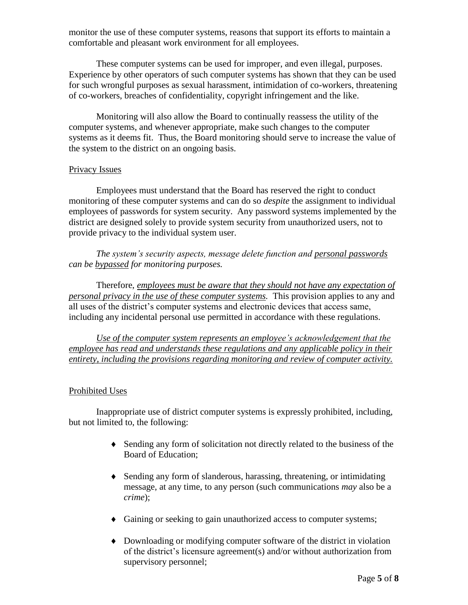monitor the use of these computer systems, reasons that support its efforts to maintain a comfortable and pleasant work environment for all employees.

These computer systems can be used for improper, and even illegal, purposes. Experience by other operators of such computer systems has shown that they can be used for such wrongful purposes as sexual harassment, intimidation of co-workers, threatening of co-workers, breaches of confidentiality, copyright infringement and the like.

Monitoring will also allow the Board to continually reassess the utility of the computer systems, and whenever appropriate, make such changes to the computer systems as it deems fit. Thus, the Board monitoring should serve to increase the value of the system to the district on an ongoing basis.

#### Privacy Issues

Employees must understand that the Board has reserved the right to conduct monitoring of these computer systems and can do so *despite* the assignment to individual employees of passwords for system security. Any password systems implemented by the district are designed solely to provide system security from unauthorized users, not to provide privacy to the individual system user.

*The system's security aspects, message delete function and personal passwords can be bypassed for monitoring purposes.* 

Therefore, *employees must be aware that they should not have any expectation of personal privacy in the use of these computer systems.* This provision applies to any and all uses of the district's computer systems and electronic devices that access same, including any incidental personal use permitted in accordance with these regulations.

*Use of the computer system represents an employee's acknowledgement that the employee has read and understands these regulations and any applicable policy in their entirety, including the provisions regarding monitoring and review of computer activity.*

#### Prohibited Uses

Inappropriate use of district computer systems is expressly prohibited, including, but not limited to, the following:

- Sending any form of solicitation not directly related to the business of the Board of Education;
- Sending any form of slanderous, harassing, threatening, or intimidating message, at any time, to any person (such communications *may* also be a *crime*);
- Gaining or seeking to gain unauthorized access to computer systems;
- Downloading or modifying computer software of the district in violation of the district's licensure agreement(s) and/or without authorization from supervisory personnel;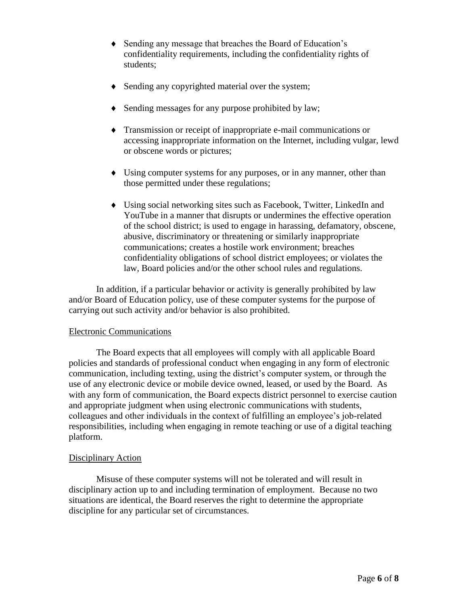- Sending any message that breaches the Board of Education's confidentiality requirements, including the confidentiality rights of students;
- Sending any copyrighted material over the system;
- Sending messages for any purpose prohibited by law;
- Transmission or receipt of inappropriate e-mail communications or accessing inappropriate information on the Internet, including vulgar, lewd or obscene words or pictures;
- Using computer systems for any purposes, or in any manner, other than those permitted under these regulations;
- Using social networking sites such as Facebook, Twitter, LinkedIn and YouTube in a manner that disrupts or undermines the effective operation of the school district; is used to engage in harassing, defamatory, obscene, abusive, discriminatory or threatening or similarly inappropriate communications; creates a hostile work environment; breaches confidentiality obligations of school district employees; or violates the law, Board policies and/or the other school rules and regulations.

In addition, if a particular behavior or activity is generally prohibited by law and/or Board of Education policy, use of these computer systems for the purpose of carrying out such activity and/or behavior is also prohibited.

# Electronic Communications

The Board expects that all employees will comply with all applicable Board policies and standards of professional conduct when engaging in any form of electronic communication, including texting, using the district's computer system, or through the use of any electronic device or mobile device owned, leased, or used by the Board. As with any form of communication, the Board expects district personnel to exercise caution and appropriate judgment when using electronic communications with students, colleagues and other individuals in the context of fulfilling an employee's job-related responsibilities, including when engaging in remote teaching or use of a digital teaching platform.

# Disciplinary Action

Misuse of these computer systems will not be tolerated and will result in disciplinary action up to and including termination of employment. Because no two situations are identical, the Board reserves the right to determine the appropriate discipline for any particular set of circumstances.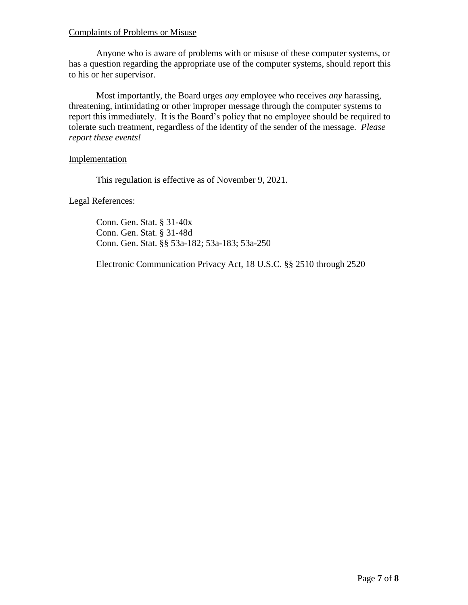### Complaints of Problems or Misuse

Anyone who is aware of problems with or misuse of these computer systems, or has a question regarding the appropriate use of the computer systems, should report this to his or her supervisor.

Most importantly, the Board urges *any* employee who receives *any* harassing, threatening, intimidating or other improper message through the computer systems to report this immediately. It is the Board's policy that no employee should be required to tolerate such treatment, regardless of the identity of the sender of the message. *Please report these events!*

Implementation

This regulation is effective as of November 9, 2021.

Legal References:

Conn. Gen. Stat. § 31-40x Conn. Gen. Stat. § 31-48d Conn. Gen. Stat. §§ 53a-182; 53a-183; 53a-250

Electronic Communication Privacy Act, 18 U.S.C. §§ 2510 through 2520